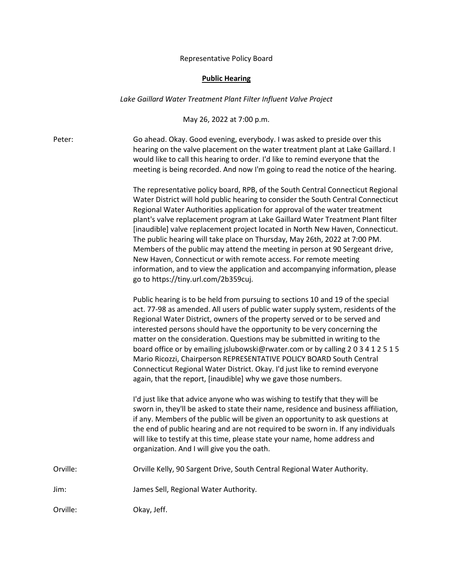## Representative Policy Board

## **Public Hearing**

## *Lake Gaillard Water Treatment Plant Filter Influent Valve Project*

May 26, 2022 at 7:00 p.m.

Peter: Go ahead. Okay. Good evening, everybody. I was asked to preside over this hearing on the valve placement on the water treatment plant at Lake Gaillard. I would like to call this hearing to order. I'd like to remind everyone that the meeting is being recorded. And now I'm going to read the notice of the hearing.

> The representative policy board, RPB, of the South Central Connecticut Regional Water District will hold public hearing to consider the South Central Connecticut Regional Water Authorities application for approval of the water treatment plant's valve replacement program at Lake Gaillard Water Treatment Plant filter [inaudible] valve replacement project located in North New Haven, Connecticut. The public hearing will take place on Thursday, May 26th, 2022 at 7:00 PM. Members of the public may attend the meeting in person at 90 Sergeant drive, New Haven, Connecticut or with remote access. For remote meeting information, and to view the application and accompanying information, please go to https://tiny.url.com/2b359cuj.

> Public hearing is to be held from pursuing to sections 10 and 19 of the special act. 77-98 as amended. All users of public water supply system, residents of the Regional Water District, owners of the property served or to be served and interested persons should have the opportunity to be very concerning the matter on the consideration. Questions may be submitted in writing to the board office or by emailing jslubowski@rwater.com or by calling 2 0 3 4 1 2 5 1 5 Mario Ricozzi, Chairperson REPRESENTATIVE POLICY BOARD South Central Connecticut Regional Water District. Okay. I'd just like to remind everyone again, that the report, [inaudible] why we gave those numbers.

> I'd just like that advice anyone who was wishing to testify that they will be sworn in, they'll be asked to state their name, residence and business affiliation, if any. Members of the public will be given an opportunity to ask questions at the end of public hearing and are not required to be sworn in. If any individuals will like to testify at this time, please state your name, home address and organization. And I will give you the oath.

Orville: Orville Kelly, 90 Sargent Drive, South Central Regional Water Authority.

Jim: James Sell, Regional Water Authority.

Orville: Okay, Jeff.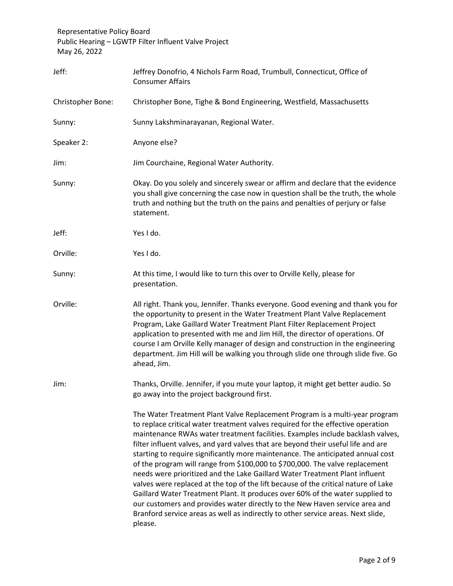| Jeff:             | Jeffrey Donofrio, 4 Nichols Farm Road, Trumbull, Connecticut, Office of<br><b>Consumer Affairs</b>                                                                                                                                                                                                                                                                                                                                                                                                                                                                                                                                                                                                                                                                                                                                                                                                                                           |
|-------------------|----------------------------------------------------------------------------------------------------------------------------------------------------------------------------------------------------------------------------------------------------------------------------------------------------------------------------------------------------------------------------------------------------------------------------------------------------------------------------------------------------------------------------------------------------------------------------------------------------------------------------------------------------------------------------------------------------------------------------------------------------------------------------------------------------------------------------------------------------------------------------------------------------------------------------------------------|
| Christopher Bone: | Christopher Bone, Tighe & Bond Engineering, Westfield, Massachusetts                                                                                                                                                                                                                                                                                                                                                                                                                                                                                                                                                                                                                                                                                                                                                                                                                                                                         |
| Sunny:            | Sunny Lakshminarayanan, Regional Water.                                                                                                                                                                                                                                                                                                                                                                                                                                                                                                                                                                                                                                                                                                                                                                                                                                                                                                      |
| Speaker 2:        | Anyone else?                                                                                                                                                                                                                                                                                                                                                                                                                                                                                                                                                                                                                                                                                                                                                                                                                                                                                                                                 |
| Jim:              | Jim Courchaine, Regional Water Authority.                                                                                                                                                                                                                                                                                                                                                                                                                                                                                                                                                                                                                                                                                                                                                                                                                                                                                                    |
| Sunny:            | Okay. Do you solely and sincerely swear or affirm and declare that the evidence<br>you shall give concerning the case now in question shall be the truth, the whole<br>truth and nothing but the truth on the pains and penalties of perjury or false<br>statement.                                                                                                                                                                                                                                                                                                                                                                                                                                                                                                                                                                                                                                                                          |
| Jeff:             | Yes I do.                                                                                                                                                                                                                                                                                                                                                                                                                                                                                                                                                                                                                                                                                                                                                                                                                                                                                                                                    |
| Orville:          | Yes I do.                                                                                                                                                                                                                                                                                                                                                                                                                                                                                                                                                                                                                                                                                                                                                                                                                                                                                                                                    |
| Sunny:            | At this time, I would like to turn this over to Orville Kelly, please for<br>presentation.                                                                                                                                                                                                                                                                                                                                                                                                                                                                                                                                                                                                                                                                                                                                                                                                                                                   |
| Orville:          | All right. Thank you, Jennifer. Thanks everyone. Good evening and thank you for<br>the opportunity to present in the Water Treatment Plant Valve Replacement<br>Program, Lake Gaillard Water Treatment Plant Filter Replacement Project<br>application to presented with me and Jim Hill, the director of operations. Of<br>course I am Orville Kelly manager of design and construction in the engineering<br>department. Jim Hill will be walking you through slide one through slide five. Go<br>ahead, Jim.                                                                                                                                                                                                                                                                                                                                                                                                                              |
| Jim:              | Thanks, Orville. Jennifer, if you mute your laptop, it might get better audio. So<br>go away into the project background first.                                                                                                                                                                                                                                                                                                                                                                                                                                                                                                                                                                                                                                                                                                                                                                                                              |
|                   | The Water Treatment Plant Valve Replacement Program is a multi-year program<br>to replace critical water treatment valves required for the effective operation<br>maintenance RWAs water treatment facilities. Examples include backlash valves,<br>filter influent valves, and yard valves that are beyond their useful life and are<br>starting to require significantly more maintenance. The anticipated annual cost<br>of the program will range from \$100,000 to \$700,000. The valve replacement<br>needs were prioritized and the Lake Gaillard Water Treatment Plant influent<br>valves were replaced at the top of the lift because of the critical nature of Lake<br>Gaillard Water Treatment Plant. It produces over 60% of the water supplied to<br>our customers and provides water directly to the New Haven service area and<br>Branford service areas as well as indirectly to other service areas. Next slide,<br>please. |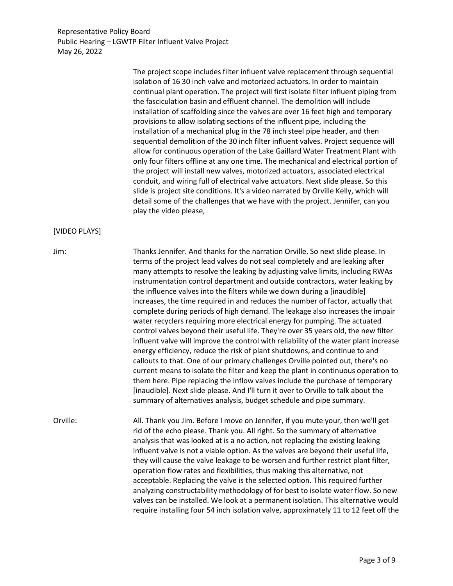> The project scope includes filter influent valve replacement through sequential isolation of 16 30 inch valve and motorized actuators. In order to maintain continual plant operation. The project will first isolate filter influent piping from the fasciculation basin and effluent channel. The demolition will include installation of scaffolding since the valves are over 16 feet high and temporary provisions to allow isolating sections of the influent pipe, including the installation of a mechanical plug in the 78 inch steel pipe header, and then sequential demolition of the 30 inch filter influent valves. Project sequence will allow for continuous operation of the Lake Gaillard Water Treatment Plant with only four filters offline at any one time. The mechanical and electrical portion of the project will install new valves, motorized actuators, associated electrical conduit, and wiring full of electrical valve actuators. Next slide please. So this slide is project site conditions. It's a video narrated by Orville Kelly, which will detail some of the challenges that we have with the project. Jennifer, can you play the video please,

## [VIDEO PLAYS]

Jim: Thanks Jennifer. And thanks for the narration Orville. So next slide please. In terms of the project lead valves do not seal completely and are leaking after many attempts to resolve the leaking by adjusting valve limits, including RWAs instrumentation control department and outside contractors, water leaking by the influence valves into the filters while we down during a [inaudible] increases, the time required in and reduces the number of factor, actually that complete during periods of high demand. The leakage also increases the impair water recyclers requiring more electrical energy for pumping. The actuated control valves beyond their useful life. They're over 35 years old, the new filter influent valve will improve the control with reliability of the water plant increase energy efficiency, reduce the risk of plant shutdowns, and continue to and callouts to that. One of our primary challenges Orville pointed out, there's no current means to isolate the filter and keep the plant in continuous operation to them here. Pipe replacing the inflow valves include the purchase of temporary [inaudible]. Next slide please. And I'll turn it over to Orville to talk about the summary of alternatives analysis, budget schedule and pipe summary.

Orville: All. Thank you Jim. Before I move on Jennifer, if you mute your, then we'll get rid of the echo please. Thank you. All right. So the summary of alternative analysis that was looked at is a no action, not replacing the existing leaking influent valve is not a viable option. As the valves are beyond their useful life, they will cause the valve leakage to be worsen and further restrict plant filter, operation flow rates and flexibilities, thus making this alternative, not acceptable. Replacing the valve is the selected option. This required further analyzing constructability methodology of for best to isolate water flow. So new valves can be installed. We look at a permanent isolation. This alternative would require installing four 54 inch isolation valve, approximately 11 to 12 feet off the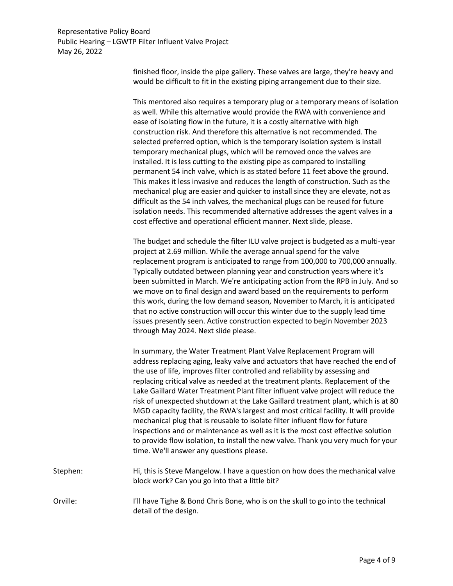> finished floor, inside the pipe gallery. These valves are large, they're heavy and would be difficult to fit in the existing piping arrangement due to their size.

This mentored also requires a temporary plug or a temporary means of isolation as well. While this alternative would provide the RWA with convenience and ease of isolating flow in the future, it is a costly alternative with high construction risk. And therefore this alternative is not recommended. The selected preferred option, which is the temporary isolation system is install temporary mechanical plugs, which will be removed once the valves are installed. It is less cutting to the existing pipe as compared to installing permanent 54 inch valve, which is as stated before 11 feet above the ground. This makes it less invasive and reduces the length of construction. Such as the mechanical plug are easier and quicker to install since they are elevate, not as difficult as the 54 inch valves, the mechanical plugs can be reused for future isolation needs. This recommended alternative addresses the agent valves in a cost effective and operational efficient manner. Next slide, please.

The budget and schedule the filter ILU valve project is budgeted as a multi-year project at 2.69 million. While the average annual spend for the valve replacement program is anticipated to range from 100,000 to 700,000 annually. Typically outdated between planning year and construction years where it's been submitted in March. We're anticipating action from the RPB in July. And so we move on to final design and award based on the requirements to perform this work, during the low demand season, November to March, it is anticipated that no active construction will occur this winter due to the supply lead time issues presently seen. Active construction expected to begin November 2023 through May 2024. Next slide please.

In summary, the Water Treatment Plant Valve Replacement Program will address replacing aging, leaky valve and actuators that have reached the end of the use of life, improves filter controlled and reliability by assessing and replacing critical valve as needed at the treatment plants. Replacement of the Lake Gaillard Water Treatment Plant filter influent valve project will reduce the risk of unexpected shutdown at the Lake Gaillard treatment plant, which is at 80 MGD capacity facility, the RWA's largest and most critical facility. It will provide mechanical plug that is reusable to isolate filter influent flow for future inspections and or maintenance as well as it is the most cost effective solution to provide flow isolation, to install the new valve. Thank you very much for your time. We'll answer any questions please. Stephen: Hi, this is Steve Mangelow. I have a question on how does the mechanical valve

block work? Can you go into that a little bit?

Orville: I'll have Tighe & Bond Chris Bone, who is on the skull to go into the technical detail of the design.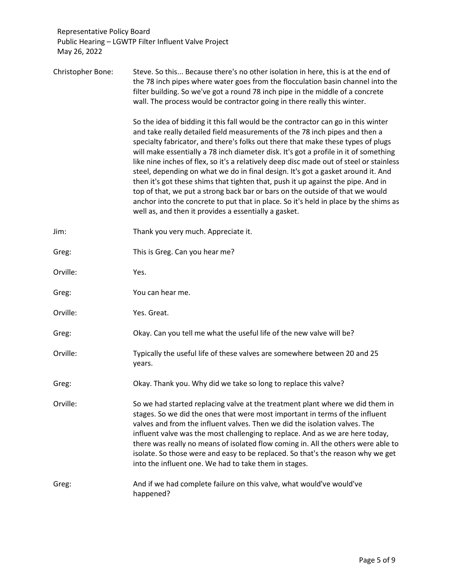Christopher Bone: Steve. So this... Because there's no other isolation in here, this is at the end of the 78 inch pipes where water goes from the flocculation basin channel into the filter building. So we've got a round 78 inch pipe in the middle of a concrete wall. The process would be contractor going in there really this winter.

> So the idea of bidding it this fall would be the contractor can go in this winter and take really detailed field measurements of the 78 inch pipes and then a specialty fabricator, and there's folks out there that make these types of plugs will make essentially a 78 inch diameter disk. It's got a profile in it of something like nine inches of flex, so it's a relatively deep disc made out of steel or stainless steel, depending on what we do in final design. It's got a gasket around it. And then it's got these shims that tighten that, push it up against the pipe. And in top of that, we put a strong back bar or bars on the outside of that we would anchor into the concrete to put that in place. So it's held in place by the shims as well as, and then it provides a essentially a gasket.

- Jim: Thank you very much. Appreciate it.
- Greg: This is Greg. Can you hear me?
- Orville: Yes.
- Greg: You can hear me.
- Orville: Yes. Great.
- Greg: Okay. Can you tell me what the useful life of the new valve will be?
- Orville: Typically the useful life of these valves are somewhere between 20 and 25 years.
- Greg: Charlockay. Thank you. Why did we take so long to replace this valve?

Orville: So we had started replacing valve at the treatment plant where we did them in stages. So we did the ones that were most important in terms of the influent valves and from the influent valves. Then we did the isolation valves. The influent valve was the most challenging to replace. And as we are here today, there was really no means of isolated flow coming in. All the others were able to isolate. So those were and easy to be replaced. So that's the reason why we get into the influent one. We had to take them in stages.

Greg: And if we had complete failure on this valve, what would've would've happened?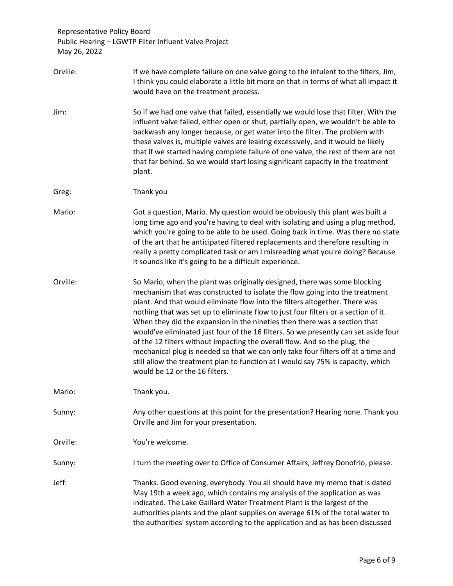| Orville: | If we have complete failure on one valve going to the infulent to the filters, Jim,<br>I think you could elaborate a little bit more on that in terms of what all impact it<br>would have on the treatment process.                                                                                                                                                                                                                                                                                                                                                                                                                                                                                                                                                                        |
|----------|--------------------------------------------------------------------------------------------------------------------------------------------------------------------------------------------------------------------------------------------------------------------------------------------------------------------------------------------------------------------------------------------------------------------------------------------------------------------------------------------------------------------------------------------------------------------------------------------------------------------------------------------------------------------------------------------------------------------------------------------------------------------------------------------|
| Jim:     | So if we had one valve that failed, essentially we would lose that filter. With the<br>influent valve failed, either open or shut, partially open, we wouldn't be able to<br>backwash any longer because, or get water into the filter. The problem with<br>these valves is, multiple valves are leaking excessively, and it would be likely<br>that if we started having complete failure of one valve, the rest of them are not<br>that far behind. So we would start losing significant capacity in the treatment<br>plant.                                                                                                                                                                                                                                                             |
| Greg:    | Thank you                                                                                                                                                                                                                                                                                                                                                                                                                                                                                                                                                                                                                                                                                                                                                                                  |
| Mario:   | Got a question, Mario. My question would be obviously this plant was built a<br>long time ago and you're having to deal with isolating and using a plug method,<br>which you're going to be able to be used. Going back in time. Was there no state<br>of the art that he anticipated filtered replacements and therefore resulting in<br>really a pretty complicated task or am I misreading what you're doing? Because<br>it sounds like it's going to be a difficult experience.                                                                                                                                                                                                                                                                                                        |
| Orville: | So Mario, when the plant was originally designed, there was some blocking<br>mechanism that was constructed to isolate the flow going into the treatment<br>plant. And that would eliminate flow into the filters altogether. There was<br>nothing that was set up to eliminate flow to just four filters or a section of it.<br>When they did the expansion in the nineties then there was a section that<br>would've eliminated just four of the 16 filters. So we presently can set aside four<br>of the 12 filters without impacting the overall flow. And so the plug, the<br>mechanical plug is needed so that we can only take four filters off at a time and<br>still allow the treatment plan to function at I would say 75% is capacity, which<br>would be 12 or the 16 filters. |
| Mario:   | Thank you.                                                                                                                                                                                                                                                                                                                                                                                                                                                                                                                                                                                                                                                                                                                                                                                 |
| Sunny:   | Any other questions at this point for the presentation? Hearing none. Thank you<br>Orville and Jim for your presentation.                                                                                                                                                                                                                                                                                                                                                                                                                                                                                                                                                                                                                                                                  |
| Orville: | You're welcome.                                                                                                                                                                                                                                                                                                                                                                                                                                                                                                                                                                                                                                                                                                                                                                            |
| Sunny:   | I turn the meeting over to Office of Consumer Affairs, Jeffrey Donofrio, please.                                                                                                                                                                                                                                                                                                                                                                                                                                                                                                                                                                                                                                                                                                           |
| Jeff:    | Thanks. Good evening, everybody. You all should have my memo that is dated<br>May 19th a week ago, which contains my analysis of the application as was<br>indicated. The Lake Gaillard Water Treatment Plant is the largest of the<br>authorities plants and the plant supplies on average 61% of the total water to<br>the authorities' system according to the application and as has been discussed                                                                                                                                                                                                                                                                                                                                                                                    |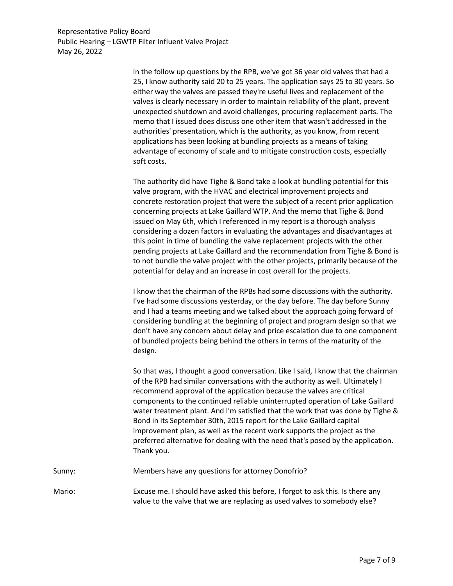> in the follow up questions by the RPB, we've got 36 year old valves that had a 25, I know authority said 20 to 25 years. The application says 25 to 30 years. So either way the valves are passed they're useful lives and replacement of the valves is clearly necessary in order to maintain reliability of the plant, prevent unexpected shutdown and avoid challenges, procuring replacement parts. The memo that I issued does discuss one other item that wasn't addressed in the authorities' presentation, which is the authority, as you know, from recent applications has been looking at bundling projects as a means of taking advantage of economy of scale and to mitigate construction costs, especially soft costs.

The authority did have Tighe & Bond take a look at bundling potential for this valve program, with the HVAC and electrical improvement projects and concrete restoration project that were the subject of a recent prior application concerning projects at Lake Gaillard WTP. And the memo that Tighe & Bond issued on May 6th, which I referenced in my report is a thorough analysis considering a dozen factors in evaluating the advantages and disadvantages at this point in time of bundling the valve replacement projects with the other pending projects at Lake Gaillard and the recommendation from Tighe & Bond is to not bundle the valve project with the other projects, primarily because of the potential for delay and an increase in cost overall for the projects.

I know that the chairman of the RPBs had some discussions with the authority. I've had some discussions yesterday, or the day before. The day before Sunny and I had a teams meeting and we talked about the approach going forward of considering bundling at the beginning of project and program design so that we don't have any concern about delay and price escalation due to one component of bundled projects being behind the others in terms of the maturity of the design.

So that was, I thought a good conversation. Like I said, I know that the chairman of the RPB had similar conversations with the authority as well. Ultimately I recommend approval of the application because the valves are critical components to the continued reliable uninterrupted operation of Lake Gaillard water treatment plant. And I'm satisfied that the work that was done by Tighe & Bond in its September 30th, 2015 report for the Lake Gaillard capital improvement plan, as well as the recent work supports the project as the preferred alternative for dealing with the need that's posed by the application. Thank you.

Sunny: Members have any questions for attorney Donofrio?

Mario: Excuse me. I should have asked this before, I forgot to ask this. Is there any value to the valve that we are replacing as used valves to somebody else?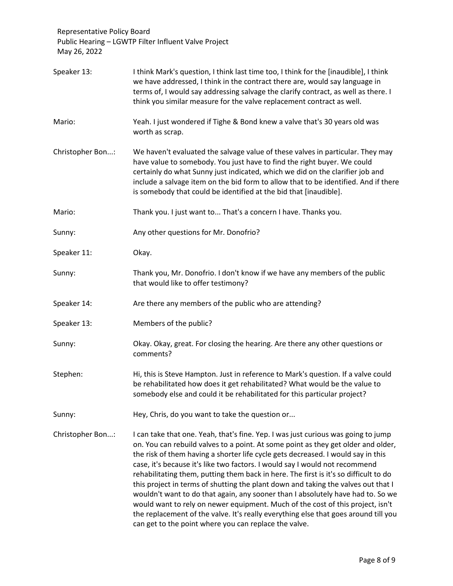| Speaker 13:      | I think Mark's question, I think last time too, I think for the [inaudible], I think<br>we have addressed, I think in the contract there are, would say language in<br>terms of, I would say addressing salvage the clarify contract, as well as there. I<br>think you similar measure for the valve replacement contract as well.                                                                                                                                                                                                                                                                                                                                                                                                                                                                                                          |
|------------------|---------------------------------------------------------------------------------------------------------------------------------------------------------------------------------------------------------------------------------------------------------------------------------------------------------------------------------------------------------------------------------------------------------------------------------------------------------------------------------------------------------------------------------------------------------------------------------------------------------------------------------------------------------------------------------------------------------------------------------------------------------------------------------------------------------------------------------------------|
| Mario:           | Yeah. I just wondered if Tighe & Bond knew a valve that's 30 years old was<br>worth as scrap.                                                                                                                                                                                                                                                                                                                                                                                                                                                                                                                                                                                                                                                                                                                                               |
| Christopher Bon: | We haven't evaluated the salvage value of these valves in particular. They may<br>have value to somebody. You just have to find the right buyer. We could<br>certainly do what Sunny just indicated, which we did on the clarifier job and<br>include a salvage item on the bid form to allow that to be identified. And if there<br>is somebody that could be identified at the bid that [inaudible].                                                                                                                                                                                                                                                                                                                                                                                                                                      |
| Mario:           | Thank you. I just want to That's a concern I have. Thanks you.                                                                                                                                                                                                                                                                                                                                                                                                                                                                                                                                                                                                                                                                                                                                                                              |
| Sunny:           | Any other questions for Mr. Donofrio?                                                                                                                                                                                                                                                                                                                                                                                                                                                                                                                                                                                                                                                                                                                                                                                                       |
| Speaker 11:      | Okay.                                                                                                                                                                                                                                                                                                                                                                                                                                                                                                                                                                                                                                                                                                                                                                                                                                       |
| Sunny:           | Thank you, Mr. Donofrio. I don't know if we have any members of the public<br>that would like to offer testimony?                                                                                                                                                                                                                                                                                                                                                                                                                                                                                                                                                                                                                                                                                                                           |
| Speaker 14:      | Are there any members of the public who are attending?                                                                                                                                                                                                                                                                                                                                                                                                                                                                                                                                                                                                                                                                                                                                                                                      |
| Speaker 13:      | Members of the public?                                                                                                                                                                                                                                                                                                                                                                                                                                                                                                                                                                                                                                                                                                                                                                                                                      |
| Sunny:           | Okay. Okay, great. For closing the hearing. Are there any other questions or<br>comments?                                                                                                                                                                                                                                                                                                                                                                                                                                                                                                                                                                                                                                                                                                                                                   |
| Stephen:         | Hi, this is Steve Hampton. Just in reference to Mark's question. If a valve could<br>be rehabilitated how does it get rehabilitated? What would be the value to<br>somebody else and could it be rehabilitated for this particular project?                                                                                                                                                                                                                                                                                                                                                                                                                                                                                                                                                                                                 |
| Sunny:           | Hey, Chris, do you want to take the question or                                                                                                                                                                                                                                                                                                                                                                                                                                                                                                                                                                                                                                                                                                                                                                                             |
| Christopher Bon: | I can take that one. Yeah, that's fine. Yep. I was just curious was going to jump<br>on. You can rebuild valves to a point. At some point as they get older and older,<br>the risk of them having a shorter life cycle gets decreased. I would say in this<br>case, it's because it's like two factors. I would say I would not recommend<br>rehabilitating them, putting them back in here. The first is it's so difficult to do<br>this project in terms of shutting the plant down and taking the valves out that I<br>wouldn't want to do that again, any sooner than I absolutely have had to. So we<br>would want to rely on newer equipment. Much of the cost of this project, isn't<br>the replacement of the valve. It's really everything else that goes around till you<br>can get to the point where you can replace the valve. |